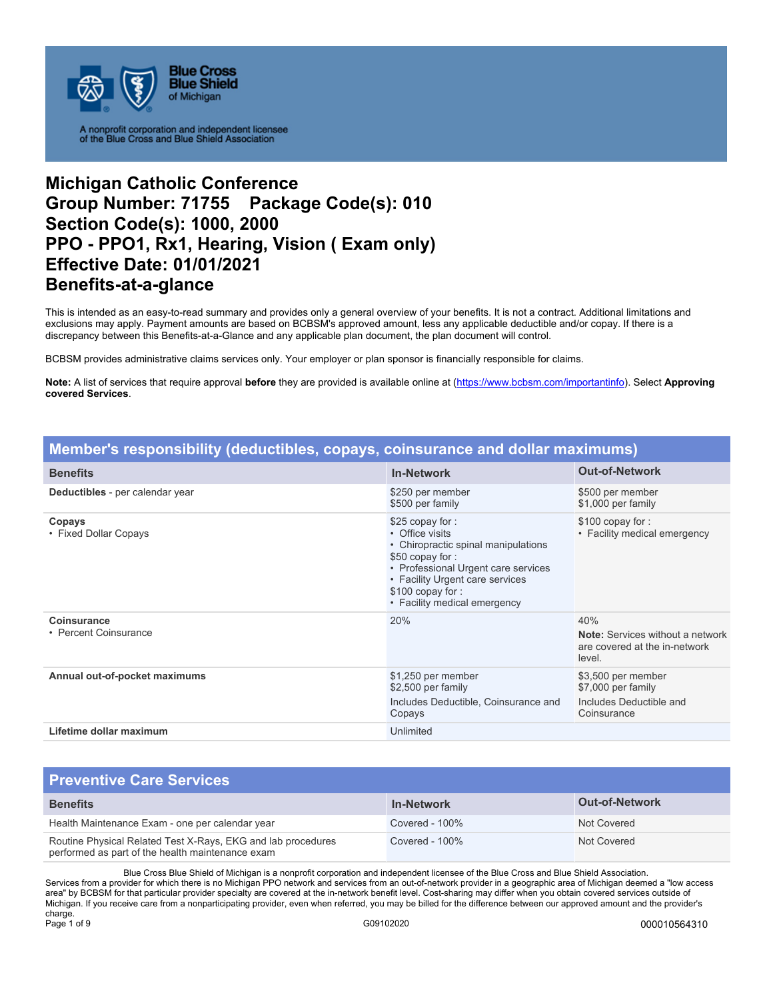

# **Michigan Catholic Conference Group Number: 71755 Package Code(s): 010 Section Code(s): 1000, 2000 PPO - PPO1, Rx1, Hearing, Vision ( Exam only) Effective Date: 01/01/2021 Benefits-at-a-glance**

This is intended as an easy-to-read summary and provides only a general overview of your benefits. It is not a contract. Additional limitations and exclusions may apply. Payment amounts are based on BCBSM's approved amount, less any applicable deductible and/or copay. If there is a discrepancy between this Benefits-at-a-Glance and any applicable plan document, the plan document will control.

BCBSM provides administrative claims services only. Your employer or plan sponsor is financially responsible for claims.

**Note:** A list of services that require approval **before** they are provided is available online at (https://www.bcbsm.com/importantinfo). Select **Approving covered Services**.

| Member's responsibility (deductibles, copays, coinsurance and dollar maximums) |                                                                                                                                                                                                                            |                                                                                           |
|--------------------------------------------------------------------------------|----------------------------------------------------------------------------------------------------------------------------------------------------------------------------------------------------------------------------|-------------------------------------------------------------------------------------------|
| <b>Benefits</b>                                                                | <b>In-Network</b>                                                                                                                                                                                                          | <b>Out-of-Network</b>                                                                     |
| Deductibles - per calendar year                                                | \$250 per member<br>\$500 per family                                                                                                                                                                                       | \$500 per member<br>\$1,000 per family                                                    |
| Copays<br>• Fixed Dollar Copays                                                | \$25 copay for:<br>• Office visits<br>• Chiropractic spinal manipulations<br>\$50 copay for:<br>• Professional Urgent care services<br>• Facility Urgent care services<br>\$100 copay for:<br>• Facility medical emergency | \$100 copay for:<br>• Facility medical emergency                                          |
| Coinsurance<br>• Percent Coinsurance                                           | 20%                                                                                                                                                                                                                        | 40%<br><b>Note:</b> Services without a network<br>are covered at the in-network<br>level. |
| Annual out-of-pocket maximums                                                  | \$1,250 per member<br>\$2,500 per family<br>Includes Deductible, Coinsurance and<br>Copays                                                                                                                                 | \$3,500 per member<br>\$7,000 per family<br>Includes Deductible and<br>Coinsurance        |
| Lifetime dollar maximum                                                        | Unlimited                                                                                                                                                                                                                  |                                                                                           |

### **Preventive Care Services Benefits In-Network Out-of-Network**  Health Maintenance Exam - one per calendar year Covered - 100% Not Covered - 100% Routine Physical Related Test X-Rays, EKG and lab procedures performed as part of the health maintenance exam Covered - 100% Not Covered Not Covered

Blue Cross Blue Shield of Michigan is a nonprofit corporation and independent licensee of the Blue Cross and Blue Shield Association. Services from a provider for which there is no Michigan PPO network and services from an out-of-network provider in a geographic area of Michigan deemed a "low access area" by BCBSM for that particular provider specialty are covered at the in-network benefit level. Cost-sharing may differ when you obtain covered services outside of Michigan. If you receive care from a nonparticipating provider, even when referred, you may be billed for the difference between our approved amount and the provider's charge.<br>Page 1 of 9 Page 1 of 9 G09102020 000010564310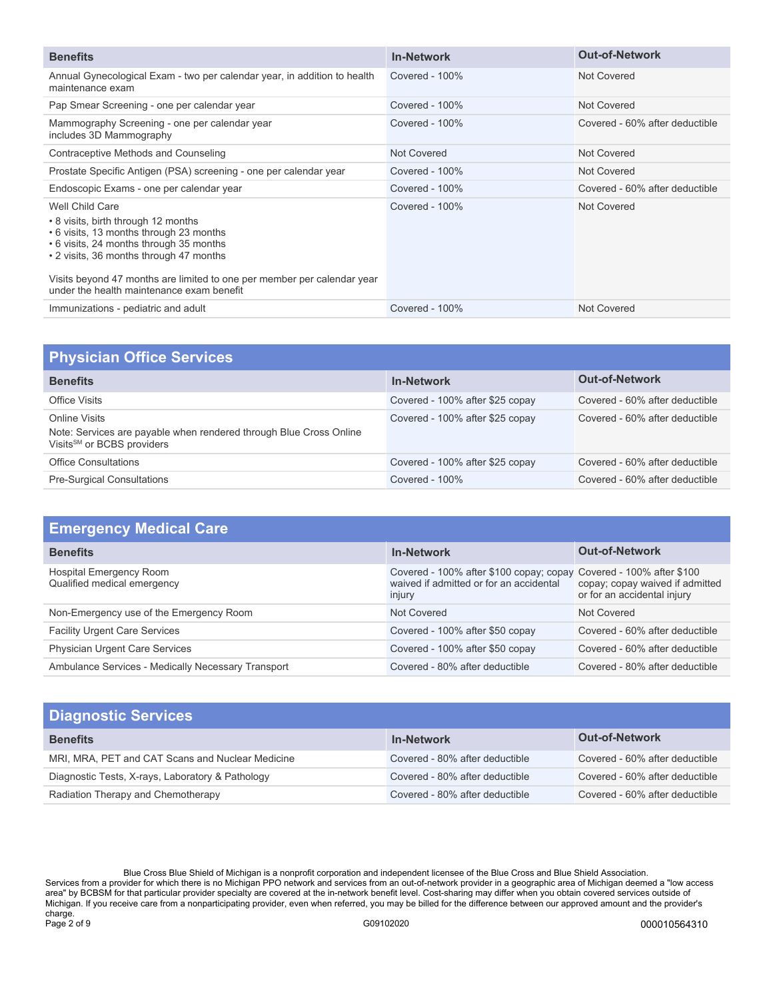| <b>Benefits</b>                                                                                                                                                                                                                                                                                                 | <b>In-Network</b> | <b>Out-of-Network</b>          |
|-----------------------------------------------------------------------------------------------------------------------------------------------------------------------------------------------------------------------------------------------------------------------------------------------------------------|-------------------|--------------------------------|
| Annual Gynecological Exam - two per calendar year, in addition to health<br>maintenance exam                                                                                                                                                                                                                    | Covered - 100%    | Not Covered                    |
| Pap Smear Screening - one per calendar year                                                                                                                                                                                                                                                                     | Covered - 100%    | Not Covered                    |
| Mammography Screening - one per calendar year<br>includes 3D Mammography                                                                                                                                                                                                                                        | Covered - 100%    | Covered - 60% after deductible |
| Contraceptive Methods and Counseling                                                                                                                                                                                                                                                                            | Not Covered       | Not Covered                    |
| Prostate Specific Antigen (PSA) screening - one per calendar year                                                                                                                                                                                                                                               | Covered - 100%    | Not Covered                    |
| Endoscopic Exams - one per calendar year                                                                                                                                                                                                                                                                        | Covered - 100%    | Covered - 60% after deductible |
| Well Child Care<br>• 8 visits, birth through 12 months<br>• 6 visits, 13 months through 23 months<br>• 6 visits, 24 months through 35 months<br>• 2 visits, 36 months through 47 months<br>Visits beyond 47 months are limited to one per member per calendar year<br>under the health maintenance exam benefit | Covered - 100%    | Not Covered                    |
| Immunizations - pediatric and adult                                                                                                                                                                                                                                                                             | Covered - 100%    | Not Covered                    |

| <b>Physician Office Services</b>                                                                                              |                                 |                                |
|-------------------------------------------------------------------------------------------------------------------------------|---------------------------------|--------------------------------|
| <b>Benefits</b>                                                                                                               | <b>In-Network</b>               | <b>Out-of-Network</b>          |
| Office Visits                                                                                                                 | Covered - 100% after \$25 copay | Covered - 60% after deductible |
| Online Visits<br>Note: Services are payable when rendered through Blue Cross Online<br>Visits <sup>SM</sup> or BCBS providers | Covered - 100% after \$25 copay | Covered - 60% after deductible |
| <b>Office Consultations</b>                                                                                                   | Covered - 100% after \$25 copay | Covered - 60% after deductible |
| <b>Pre-Surgical Consultations</b>                                                                                             | Covered - $100\%$               | Covered - 60% after deductible |

| <b>Emergency Medical Care</b>                          |                                                                                                                         |                                                                |
|--------------------------------------------------------|-------------------------------------------------------------------------------------------------------------------------|----------------------------------------------------------------|
| <b>Benefits</b>                                        | <b>In-Network</b>                                                                                                       | <b>Out-of-Network</b>                                          |
| Hospital Emergency Room<br>Qualified medical emergency | Covered - 100% after \$100 copay; copay Covered - 100% after \$100<br>waived if admitted or for an accidental<br>injury | copay; copay waived if admitted<br>or for an accidental injury |
| Non-Emergency use of the Emergency Room                | Not Covered                                                                                                             | Not Covered                                                    |
| <b>Facility Urgent Care Services</b>                   | Covered - 100% after \$50 copay                                                                                         | Covered - 60% after deductible                                 |
| <b>Physician Urgent Care Services</b>                  | Covered - 100% after \$50 copay                                                                                         | Covered - 60% after deductible                                 |
| Ambulance Services - Medically Necessary Transport     | Covered - 80% after deductible                                                                                          | Covered - 80% after deductible                                 |

| <b>Diagnostic Services</b>                       |                                |                                |
|--------------------------------------------------|--------------------------------|--------------------------------|
| <b>Benefits</b>                                  | <b>In-Network</b>              | <b>Out-of-Network</b>          |
| MRI, MRA, PET and CAT Scans and Nuclear Medicine | Covered - 80% after deductible | Covered - 60% after deductible |
| Diagnostic Tests, X-rays, Laboratory & Pathology | Covered - 80% after deductible | Covered - 60% after deductible |
| Radiation Therapy and Chemotherapy               | Covered - 80% after deductible | Covered - 60% after deductible |

Blue Cross Blue Shield of Michigan is a nonprofit corporation and independent licensee of the Blue Cross and Blue Shield Association. Services from a provider for which there is no Michigan PPO network and services from an out-of-network provider in a geographic area of Michigan deemed a "low access area" by BCBSM for that particular provider specialty are covered at the in-network benefit level. Cost-sharing may differ when you obtain covered services outside of Michigan. If you receive care from a nonparticipating provider, even when referred, you may be billed for the difference between our approved amount and the provider's charge. Page 2 of 9 G09102020 000010564310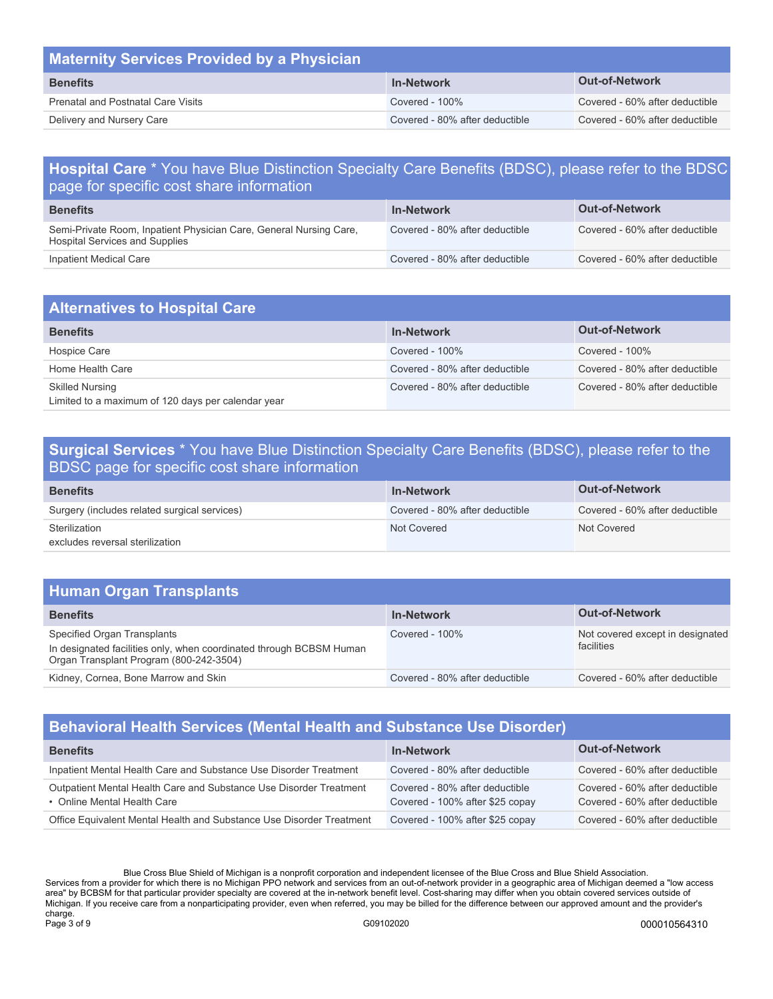| <b>Maternity Services Provided by a Physician</b> |                                |                                |
|---------------------------------------------------|--------------------------------|--------------------------------|
| <b>Benefits</b>                                   | <b>In-Network</b>              | <b>Out-of-Network</b>          |
| <b>Prenatal and Postnatal Care Visits</b>         | Covered - $100\%$              | Covered - 60% after deductible |
| Delivery and Nursery Care                         | Covered - 80% after deductible | Covered - 60% after deductible |

### **Hospital Care** \* You have Blue Distinction Specialty Care Benefits (BDSC), please refer to the BDSC page for specific cost share information

| <b>Benefits</b>                                                                                      | <b>In-Network</b>              | <b>Out-of-Network</b>          |
|------------------------------------------------------------------------------------------------------|--------------------------------|--------------------------------|
| Semi-Private Room, Inpatient Physician Care, General Nursing Care,<br>Hospital Services and Supplies | Covered - 80% after deductible | Covered - 60% after deductible |
| Inpatient Medical Care                                                                               | Covered - 80% after deductible | Covered - 60% after deductible |

| <b>Alternatives to Hospital Care</b>                                         |                                |                                |
|------------------------------------------------------------------------------|--------------------------------|--------------------------------|
| <b>Benefits</b>                                                              | <b>In-Network</b>              | <b>Out-of-Network</b>          |
| Hospice Care                                                                 | Covered - $100\%$              | Covered - $100\%$              |
| Home Health Care                                                             | Covered - 80% after deductible | Covered - 80% after deductible |
| <b>Skilled Nursing</b><br>Limited to a maximum of 120 days per calendar year | Covered - 80% after deductible | Covered - 80% after deductible |

### **Surgical Services** \* You have Blue Distinction Specialty Care Benefits (BDSC), please refer to the BDSC page for specific cost share information

| <b>Benefits</b>                                  | <b>In-Network</b>              | <b>Out-of-Network</b>          |
|--------------------------------------------------|--------------------------------|--------------------------------|
| Surgery (includes related surgical services)     | Covered - 80% after deductible | Covered - 60% after deductible |
| Sterilization<br>excludes reversal sterilization | Not Covered                    | Not Covered                    |

### **Human Organ Transplants**

| <b>Benefits</b>                                                                                                                               | <b>In-Network</b>              | <b>Out-of-Network</b>                          |
|-----------------------------------------------------------------------------------------------------------------------------------------------|--------------------------------|------------------------------------------------|
| Specified Organ Transplants<br>In designated facilities only, when coordinated through BCBSM Human<br>Organ Transplant Program (800-242-3504) | Covered - $100\%$              | Not covered except in designated<br>facilities |
| Kidney, Cornea, Bone Marrow and Skin                                                                                                          | Covered - 80% after deductible | Covered - 60% after deductible                 |

## **Behavioral Health Services (Mental Health and Substance Use Disorder)**

| <b>Benefits</b>                                                                                   | <b>In-Network</b>                                                 | <b>Out-of-Network</b>                                            |
|---------------------------------------------------------------------------------------------------|-------------------------------------------------------------------|------------------------------------------------------------------|
| Inpatient Mental Health Care and Substance Use Disorder Treatment                                 | Covered - 80% after deductible                                    | Covered - 60% after deductible                                   |
| Outpatient Mental Health Care and Substance Use Disorder Treatment<br>• Online Mental Health Care | Covered - 80% after deductible<br>Covered - 100% after \$25 copay | Covered - 60% after deductible<br>Covered - 60% after deductible |
| Office Equivalent Mental Health and Substance Use Disorder Treatment                              | Covered - 100% after \$25 copay                                   | Covered - 60% after deductible                                   |

Blue Cross Blue Shield of Michigan is a nonprofit corporation and independent licensee of the Blue Cross and Blue Shield Association. Services from a provider for which there is no Michigan PPO network and services from an out-of-network provider in a geographic area of Michigan deemed a "low access area" by BCBSM for that particular provider specialty are covered at the in-network benefit level. Cost-sharing may differ when you obtain covered services outside of Michigan. If you receive care from a nonparticipating provider, even when referred, you may be billed for the difference between our approved amount and the provider's charge.<br>Page 3 of 9 Page 3 of 9 G09102020 000010564310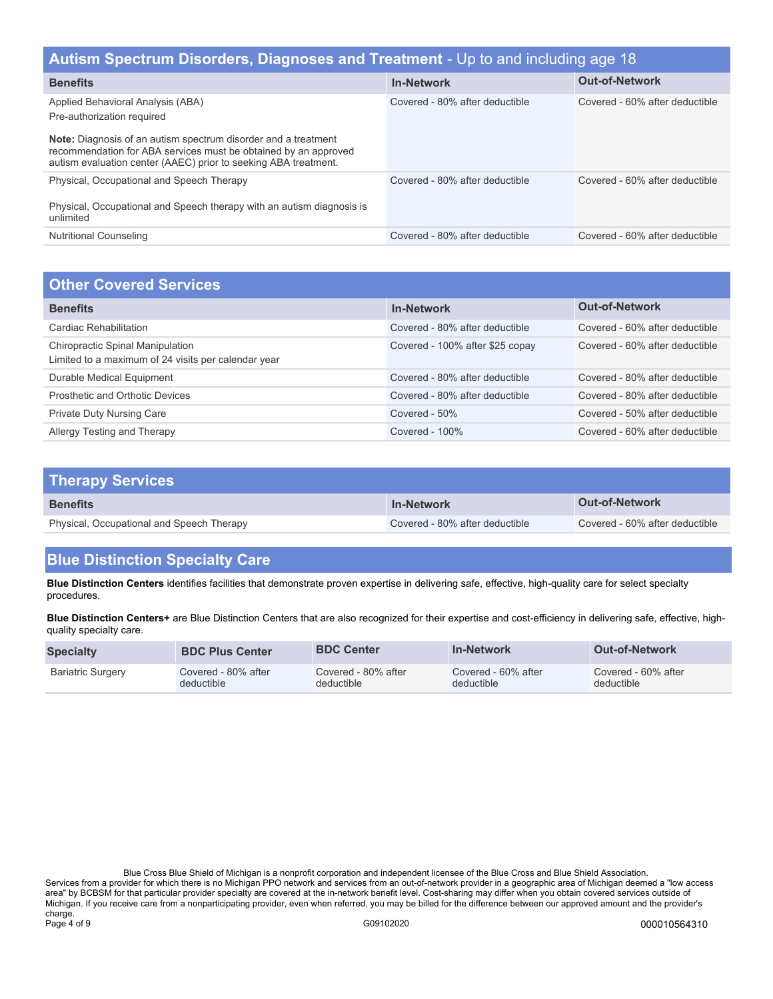| Autism Spectrum Disorders, Diagnoses and Treatment - Up to and including age 18                                                                                                                                                                                                |                                |                                |  |
|--------------------------------------------------------------------------------------------------------------------------------------------------------------------------------------------------------------------------------------------------------------------------------|--------------------------------|--------------------------------|--|
| <b>Benefits</b>                                                                                                                                                                                                                                                                | <b>In-Network</b>              | <b>Out-of-Network</b>          |  |
| Applied Behavioral Analysis (ABA)<br>Pre-authorization required<br><b>Note:</b> Diagnosis of an autism spectrum disorder and a treatment<br>recommendation for ABA services must be obtained by an approved<br>autism evaluation center (AAEC) prior to seeking ABA treatment. | Covered - 80% after deductible | Covered - 60% after deductible |  |
| Physical, Occupational and Speech Therapy<br>Physical, Occupational and Speech therapy with an autism diagnosis is<br>unlimited                                                                                                                                                | Covered - 80% after deductible | Covered - 60% after deductible |  |
| <b>Nutritional Counseling</b>                                                                                                                                                                                                                                                  | Covered - 80% after deductible | Covered - 60% after deductible |  |

| <b>Other Covered Services</b>                                                                  |                                 |                                |  |
|------------------------------------------------------------------------------------------------|---------------------------------|--------------------------------|--|
| <b>Benefits</b>                                                                                | <b>In-Network</b>               | <b>Out-of-Network</b>          |  |
| Cardiac Rehabilitation                                                                         | Covered - 80% after deductible  | Covered - 60% after deductible |  |
| <b>Chiropractic Spinal Manipulation</b><br>Limited to a maximum of 24 visits per calendar year | Covered - 100% after \$25 copay | Covered - 60% after deductible |  |
| Durable Medical Equipment                                                                      | Covered - 80% after deductible  | Covered - 80% after deductible |  |
| Prosthetic and Orthotic Devices                                                                | Covered - 80% after deductible  | Covered - 80% after deductible |  |
| <b>Private Duty Nursing Care</b>                                                               | Covered - 50%                   | Covered - 50% after deductible |  |
| Allergy Testing and Therapy                                                                    | Covered - $100\%$               | Covered - 60% after deductible |  |

| <b>Therapy Services</b>                   |                                |                                |
|-------------------------------------------|--------------------------------|--------------------------------|
| <b>Benefits</b>                           | <b>In-Network</b>              | <b>Out-of-Network</b>          |
| Physical, Occupational and Speech Therapy | Covered - 80% after deductible | Covered - 60% after deductible |

# **Blue Distinction Specialty Care**

**Blue Distinction Centers** identifies facilities that demonstrate proven expertise in delivering safe, effective, high-quality care for select specialty procedures.

**Blue Distinction Centers+** are Blue Distinction Centers that are also recognized for their expertise and cost-efficiency in delivering safe, effective, highquality specialty care.

| <b>Specialty</b>         | <b>BDC Plus Center</b> | <b>BDC Center</b>   | <b>In-Network</b>   | <b>Out-of-Network</b> |
|--------------------------|------------------------|---------------------|---------------------|-----------------------|
| <b>Bariatric Surgery</b> | Covered - 80% after    | Covered - 80% after | Covered - 60% after | Covered - 60% after   |
|                          | deductible             | deductible          | deductible          | deductible            |

Blue Cross Blue Shield of Michigan is a nonprofit corporation and independent licensee of the Blue Cross and Blue Shield Association. Services from a provider for which there is no Michigan PPO network and services from an out-of-network provider in a geographic area of Michigan deemed a "low access area" by BCBSM for that particular provider specialty are covered at the in-network benefit level. Cost-sharing may differ when you obtain covered services outside of Michigan. If you receive care from a nonparticipating provider, even when referred, you may be billed for the difference between our approved amount and the provider's charge.<br>Page 4 of 9 Page 4 of 9 G09102020 000010564310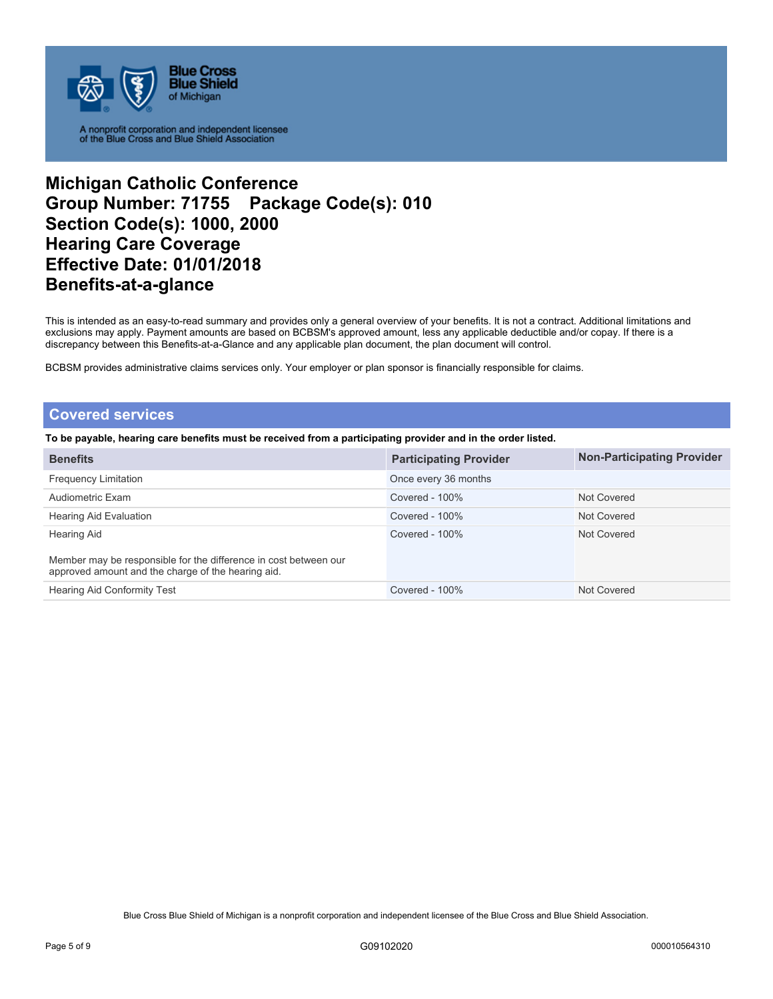

## **Michigan Catholic Conference Group Number: 71755 Package Code(s): 010 Section Code(s): 1000, 2000 Hearing Care Coverage Effective Date: 01/01/2018 Benefits-at-a-glance**

This is intended as an easy-to-read summary and provides only a general overview of your benefits. It is not a contract. Additional limitations and exclusions may apply. Payment amounts are based on BCBSM's approved amount, less any applicable deductible and/or copay. If there is a discrepancy between this Benefits-at-a-Glance and any applicable plan document, the plan document will control.

BCBSM provides administrative claims services only. Your employer or plan sponsor is financially responsible for claims.

### **Covered services**

**To be payable, hearing care benefits must be received from a participating provider and in the order listed.** 

| <b>Benefits</b>                                                                                                        | <b>Participating Provider</b> | <b>Non-Participating Provider</b> |
|------------------------------------------------------------------------------------------------------------------------|-------------------------------|-----------------------------------|
| <b>Frequency Limitation</b>                                                                                            | Once every 36 months          |                                   |
| Audiometric Exam                                                                                                       | Covered - $100\%$             | Not Covered                       |
| Hearing Aid Evaluation                                                                                                 | Covered - $100\%$             | Not Covered                       |
| <b>Hearing Aid</b>                                                                                                     | Covered - $100\%$             | Not Covered                       |
| Member may be responsible for the difference in cost between our<br>approved amount and the charge of the hearing aid. |                               |                                   |
| <b>Hearing Aid Conformity Test</b>                                                                                     | Covered - 100%                | Not Covered                       |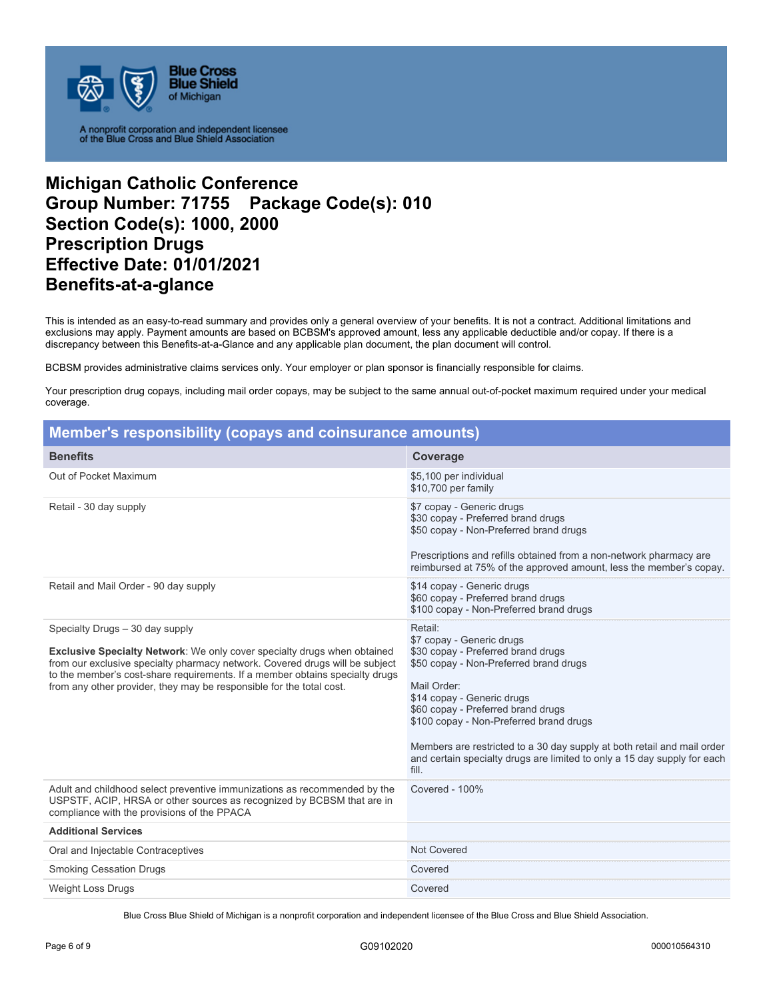

## **Michigan Catholic Conference Group Number: 71755 Package Code(s): 010 Section Code(s): 1000, 2000 Prescription Drugs Effective Date: 01/01/2021 Benefits-at-a-glance**

This is intended as an easy-to-read summary and provides only a general overview of your benefits. It is not a contract. Additional limitations and exclusions may apply. Payment amounts are based on BCBSM's approved amount, less any applicable deductible and/or copay. If there is a discrepancy between this Benefits-at-a-Glance and any applicable plan document, the plan document will control.

BCBSM provides administrative claims services only. Your employer or plan sponsor is financially responsible for claims.

Your prescription drug copays, including mail order copays, may be subject to the same annual out-of-pocket maximum required under your medical coverage.

| Member's responsibility (copays and coinsurance amounts)                                                                                                                                                                                                                                                                                                   |                                                                                                                                                                                                                                                                                                                                                                                                                    |  |  |
|------------------------------------------------------------------------------------------------------------------------------------------------------------------------------------------------------------------------------------------------------------------------------------------------------------------------------------------------------------|--------------------------------------------------------------------------------------------------------------------------------------------------------------------------------------------------------------------------------------------------------------------------------------------------------------------------------------------------------------------------------------------------------------------|--|--|
| <b>Benefits</b>                                                                                                                                                                                                                                                                                                                                            | Coverage                                                                                                                                                                                                                                                                                                                                                                                                           |  |  |
| Out of Pocket Maximum                                                                                                                                                                                                                                                                                                                                      | \$5,100 per individual<br>\$10,700 per family                                                                                                                                                                                                                                                                                                                                                                      |  |  |
| Retail - 30 day supply                                                                                                                                                                                                                                                                                                                                     | \$7 copay - Generic drugs<br>\$30 copay - Preferred brand drugs<br>\$50 copay - Non-Preferred brand drugs<br>Prescriptions and refills obtained from a non-network pharmacy are<br>reimbursed at 75% of the approved amount, less the member's copay.                                                                                                                                                              |  |  |
| Retail and Mail Order - 90 day supply                                                                                                                                                                                                                                                                                                                      | \$14 copay - Generic drugs<br>\$60 copay - Preferred brand drugs<br>\$100 copay - Non-Preferred brand drugs                                                                                                                                                                                                                                                                                                        |  |  |
| Specialty Drugs - 30 day supply<br><b>Exclusive Specialty Network:</b> We only cover specialty drugs when obtained<br>from our exclusive specialty pharmacy network. Covered drugs will be subject<br>to the member's cost-share requirements. If a member obtains specialty drugs<br>from any other provider, they may be responsible for the total cost. | Retail:<br>\$7 copay - Generic drugs<br>\$30 copay - Preferred brand drugs<br>\$50 copay - Non-Preferred brand drugs<br>Mail Order:<br>\$14 copay - Generic drugs<br>\$60 copay - Preferred brand drugs<br>\$100 copay - Non-Preferred brand drugs<br>Members are restricted to a 30 day supply at both retail and mail order<br>and certain specialty drugs are limited to only a 15 day supply for each<br>fill. |  |  |
| Adult and childhood select preventive immunizations as recommended by the<br>USPSTF, ACIP, HRSA or other sources as recognized by BCBSM that are in<br>compliance with the provisions of the PPACA                                                                                                                                                         | <b>Covered - 100%</b>                                                                                                                                                                                                                                                                                                                                                                                              |  |  |
| <b>Additional Services</b>                                                                                                                                                                                                                                                                                                                                 |                                                                                                                                                                                                                                                                                                                                                                                                                    |  |  |
| Oral and Injectable Contraceptives                                                                                                                                                                                                                                                                                                                         | <b>Not Covered</b>                                                                                                                                                                                                                                                                                                                                                                                                 |  |  |
| <b>Smoking Cessation Drugs</b>                                                                                                                                                                                                                                                                                                                             | Covered                                                                                                                                                                                                                                                                                                                                                                                                            |  |  |
| <b>Weight Loss Drugs</b>                                                                                                                                                                                                                                                                                                                                   | Covered                                                                                                                                                                                                                                                                                                                                                                                                            |  |  |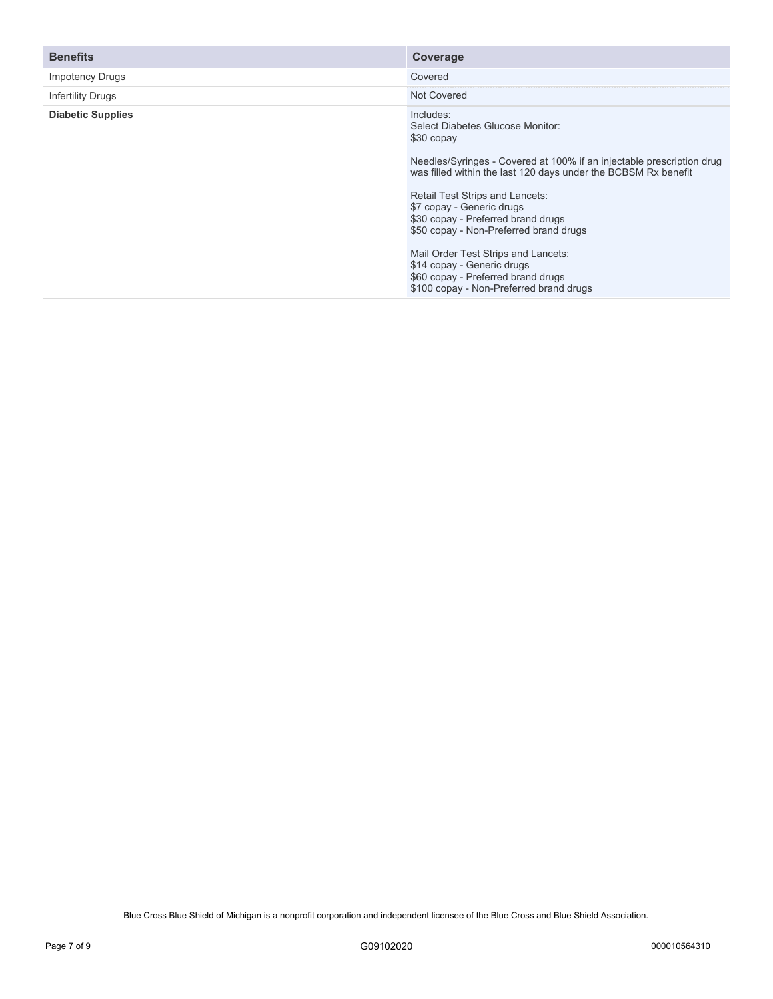| <b>Benefits</b>          | Coverage                                                                                                                                                                                                                                                                                                                                               |
|--------------------------|--------------------------------------------------------------------------------------------------------------------------------------------------------------------------------------------------------------------------------------------------------------------------------------------------------------------------------------------------------|
| <b>Impotency Drugs</b>   | Covered                                                                                                                                                                                                                                                                                                                                                |
| Infertility Drugs        | Not Covered                                                                                                                                                                                                                                                                                                                                            |
| <b>Diabetic Supplies</b> | Includes:<br>Select Diabetes Glucose Monitor:<br>\$30 copay<br>Needles/Syringes - Covered at 100% if an injectable prescription drug<br>was filled within the last 120 days under the BCBSM Rx benefit<br>Retail Test Strips and Lancets:<br>\$7 copay - Generic drugs<br>\$30 copay - Preferred brand drugs<br>\$50 copay - Non-Preferred brand drugs |
|                          | Mail Order Test Strips and Lancets:<br>\$14 copay - Generic drugs<br>\$60 copay - Preferred brand drugs<br>\$100 copay - Non-Preferred brand drugs                                                                                                                                                                                                     |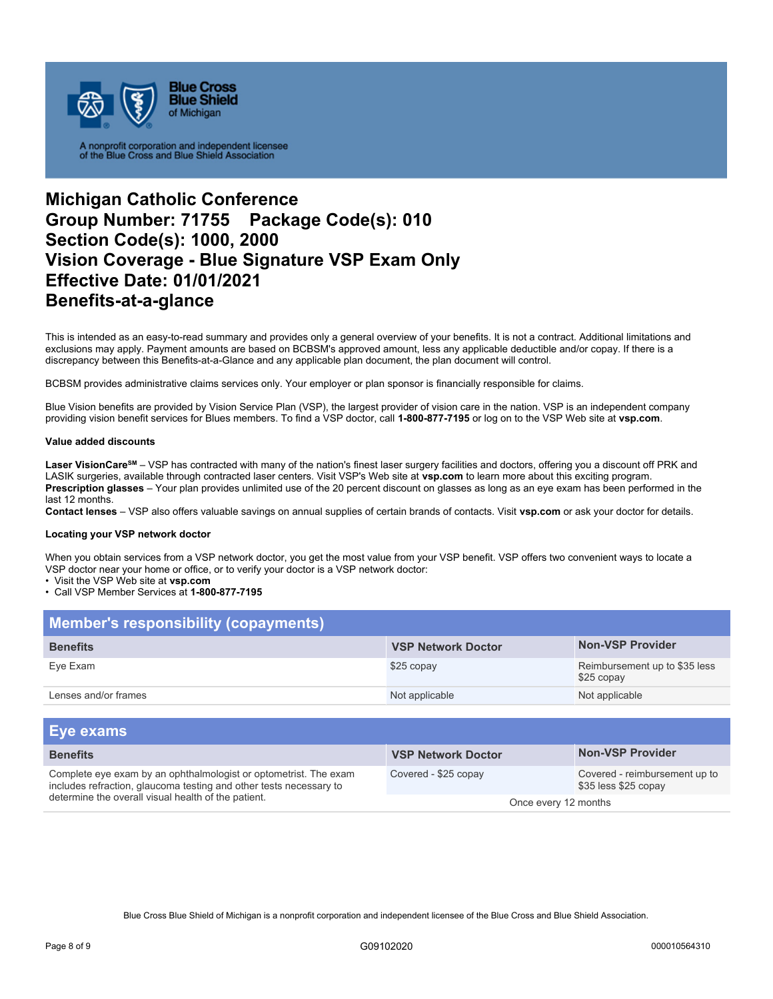

# **Michigan Catholic Conference Group Number: 71755 Package Code(s): 010 Section Code(s): 1000, 2000 Vision Coverage - Blue Signature VSP Exam Only Effective Date: 01/01/2021 Benefits-at-a-glance**

This is intended as an easy-to-read summary and provides only a general overview of your benefits. It is not a contract. Additional limitations and exclusions may apply. Payment amounts are based on BCBSM's approved amount, less any applicable deductible and/or copay. If there is a discrepancy between this Benefits-at-a-Glance and any applicable plan document, the plan document will control.

BCBSM provides administrative claims services only. Your employer or plan sponsor is financially responsible for claims.

Blue Vision benefits are provided by Vision Service Plan (VSP), the largest provider of vision care in the nation. VSP is an independent company providing vision benefit services for Blues members. To find a VSP doctor, call **1-800-877-7195** or log on to the VSP Web site at **vsp.com**.

#### **Value added discounts**

Laser VisionCare<sup>sM</sup> – VSP has contracted with many of the nation's finest laser surgery facilities and doctors, offering you a discount off PRK and LASIK surgeries, available through contracted laser centers. Visit VSP's Web site at **vsp.com** to learn more about this exciting program. **Prescription glasses** – Your plan provides unlimited use of the 20 percent discount on glasses as long as an eye exam has been performed in the last 12 months.

**Contact lenses** – VSP also offers valuable savings on annual supplies of certain brands of contacts. Visit **vsp.com** or ask your doctor for details.

#### **Locating your VSP network doctor**

When you obtain services from a VSP network doctor, you get the most value from your VSP benefit. VSP offers two convenient ways to locate a VSP doctor near your home or office, or to verify your doctor is a VSP network doctor:

• Visit the VSP Web site at **vsp.com** 

### • Call VSP Member Services at **1-800-877-7195**

| <b>Member's responsibility (copayments)</b> |                           |                                             |  |
|---------------------------------------------|---------------------------|---------------------------------------------|--|
| <b>Benefits</b>                             | <b>VSP Network Doctor</b> | <b>Non-VSP Provider</b>                     |  |
| Eye Exam                                    | \$25 copay                | Reimbursement up to \$35 less<br>\$25 copay |  |
| Lenses and/or frames                        | Not applicable            | Not applicable                              |  |

| <b>Eye exams</b>                                                                                                                                                                              |                           |                                                       |
|-----------------------------------------------------------------------------------------------------------------------------------------------------------------------------------------------|---------------------------|-------------------------------------------------------|
| <b>Benefits</b>                                                                                                                                                                               | <b>VSP Network Doctor</b> | <b>Non-VSP Provider</b>                               |
| Complete eye exam by an ophthalmologist or optometrist. The exam<br>includes refraction, glaucoma testing and other tests necessary to<br>determine the overall visual health of the patient. | Covered - \$25 copay      | Covered - reimbursement up to<br>\$35 less \$25 copay |
|                                                                                                                                                                                               | Once every 12 months      |                                                       |